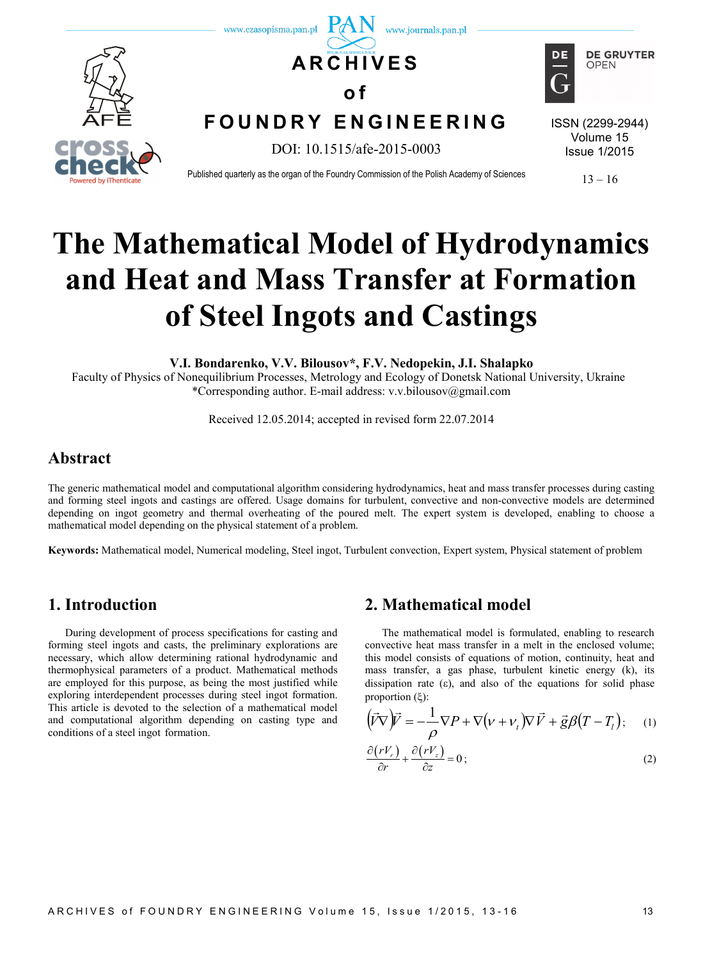

# **The Mathematical Model of Hydrodynamics and Heat and Mass Transfer at Formation of Steel Ingots and Castings**

**V.I. Bondarenko, V.V. Bilousov\*, F.V. Nedopekin, J.I. Shalapko**

Faculty of Physics of Nonequilibrium Processes, Metrology and Ecology of Donetsk National University, Ukraine \*Corresponding author. E-mail address: [v.v.bilousov@gmail.com](mailto:v.v.bilousov@gmail.com)

Received 12.05.2014; accepted in revised form 22.07.2014

## **Abstract**

The generic mathematical model and computational algorithm considering hydrodynamics, heat and mass transfer processes during casting and forming steel ingots and castings are offered. Usage domains for turbulent, convective and non-convective models are determined depending on ingot geometry and thermal overheating of the poured melt. The expert system is developed, enabling to choose a mathematical model depending on the physical statement of a problem.

**Keywords:** Mathematical model, Numerical modeling, Steel ingot, Turbulent convection, Expert system, Physical statement of problem

### **1. Introduction**

During development of process specifications for casting and forming steel ingots and casts, the preliminary explorations are necessary, which allow determining rational hydrodynamic and thermophysical parameters of a product. Mathematical methods are employed for this purpose, as being the most justified while exploring interdependent processes during steel ingot formation. This article is devoted to the selection of a mathematical model and computational algorithm depending on casting type and conditions of a steel ingot formation.

### **2. Mathematical model**

The mathematical model is formulated, enabling to research convective heat mass transfer in a melt in the enclosed volume; this model consists of equations of motion, continuity, heat and mass transfer, a gas phase, turbulent kinetic energy (k), its dissipation rate (ε), and also of the equations for solid phase proportion (ξ):

$$
(\vec{V}\nabla)\vec{V} = -\frac{1}{\rho}\nabla P + \nabla(\nu + \nu_t)\nabla\vec{V} + \vec{g}\beta(T - T_t); \quad (1)
$$

$$
\frac{\partial (rV_r)}{\partial r} + \frac{\partial (rV_z)}{\partial z} = 0 \tag{2}
$$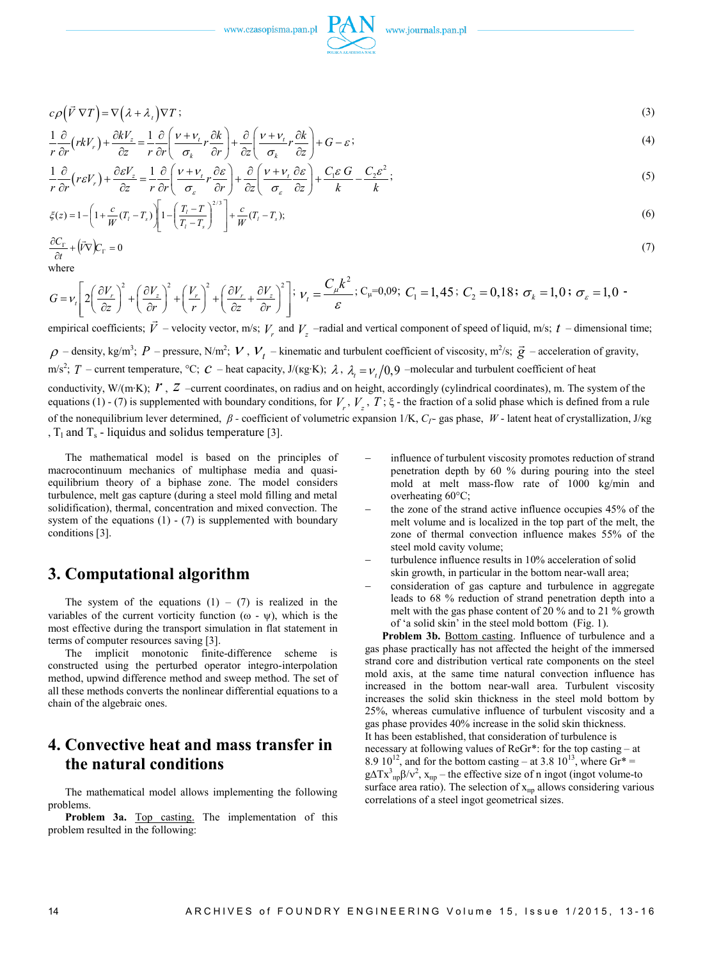www.czasopisma.pan.pl



$$
c\rho(\vec{V}\,\nabla T) = \nabla(\lambda + \lambda_t)\nabla T\tag{3}
$$

$$
\frac{1}{r}\frac{\partial}{\partial r}\left(rkV_r\right) + \frac{\partial kV_z}{\partial z} = \frac{1}{r}\frac{\partial}{\partial r}\left(\frac{v + v_t}{\sigma_k}r\frac{\partial k}{\partial r}\right) + \frac{\partial}{\partial z}\left(\frac{v + v_t}{\sigma_k}r\frac{\partial k}{\partial z}\right) + G - \varepsilon\tag{4}
$$

$$
\frac{1}{r}\frac{\partial}{\partial r}\left(r\varepsilon V_r\right) + \frac{\partial \varepsilon V_z}{\partial z} = \frac{1}{r}\frac{\partial}{\partial r}\left(\frac{v + v_t}{\sigma_\varepsilon}r\frac{\partial \varepsilon}{\partial r}\right) + \frac{\partial}{\partial z}\left(\frac{v + v_t}{\sigma_\varepsilon}\frac{\partial \varepsilon}{\partial z}\right) + \frac{C_1\varepsilon G}{k} - \frac{C_2\varepsilon^2}{k};
$$
\n(5)

$$
\xi(z) = 1 - \left(1 + \frac{c}{W}(T_i - T_s)\right) \left[1 - \left(\frac{T_i - T}{T_i - T_s}\right)^{2/3}\right] + \frac{c}{W}(T_i - T_s); \tag{6}
$$

$$
\frac{\partial C_{\Gamma}}{\partial t} + (\vec{V}\nabla)C_{\Gamma} = 0\tag{7}
$$

```
where
```

$$
G = \nu_r \left[ 2 \left( \frac{\partial V_r}{\partial z} \right)^2 + \left( \frac{\partial V_z}{\partial r} \right)^2 + \left( \frac{V_r}{r} \right)^2 + \left( \frac{\partial V_r}{\partial z} + \frac{\partial V_z}{\partial r} \right)^2 \right]; \ \nu_r = \frac{C_\mu k^2}{\varepsilon}; \ C_\mu = 0.09; \ C_1 = 1,45; \ C_2 = 0,18; \ \sigma_k = 1,0; \ \sigma_\varepsilon = 1,0-10.
$$

empirical coefficients;  $\vec{V}$  – velocity vector, m/s;  $V_r$  and  $V_z$  –radial and vertical component of speed of liquid, m/s;  $t$  – dimensional time;

 $\rho$  – density, kg/m<sup>3</sup>;  $P$  – pressure, N/m<sup>2</sup>;  $V$ ,  $V_t$  – kinematic and turbulent coefficient of viscosity, m<sup>2</sup>/s;  $\vec{g}$  – acceleration of gravity,

m/s<sup>2</sup>; *T* – current temperature, °C; *C* – heat capacity, J/(κg⋅K); λ, λ<sub>t</sub> =  $v_t/0.9$  –molecular and turbulent coefficient of heat

conductivity, W/(m∙K); *r*, *z* –current coordinates, on radius and on height, accordingly (cylindrical coordinates), m. The system of the equations (1) - (7) is supplemented with boundary conditions, for  $V_r$ ,  $V_z$ ,  $T$ ;  $\xi$  - the fraction of a solid phase which is defined from a rule of the nonequilibrium lever determined, *β -* coefficient of volumetric expansion 1/K, *CГ-* gas phase, *W* - latent heat of crystallization, J/кg ,  $T_1$  and  $T_s$  - liquidus and solidus temperature [3].

The mathematical model is based on the principles of macrocontinuum mechanics of multiphase media and quasiequilibrium theory of a biphase zone. The model considers turbulence, melt gas capture (during a steel mold filling and metal solidification), thermal, concentration and mixed convection. The system of the equations  $(1)$  -  $(7)$  is supplemented with boundary conditions [3].

### **3. Computational algorithm**

The system of the equations  $(1) - (7)$  is realized in the variables of the current vorticity function  $(\omega - \psi)$ , which is the most effective during the transport simulation in flat statement in terms of computer resources saving [3].

The implicit monotonic finite-difference scheme is constructed using the perturbed operator integro-interpolation method, upwind difference method and sweep method. The set of all these methods converts the nonlinear differential equations to a chain of the algebraic ones.

## **4. Convective heat and mass transfer in the natural conditions**

The mathematical model allows implementing the following problems.

**Problem 3а.** Top casting. The implementation of this problem resulted in the following:

- influence of turbulent viscosity promotes reduction of strand penetration depth by 60 % during pouring into the steel mold at melt mass-flow rate of 1000 kg/min and overheating 60°C;
- the zone of the strand active influence occupies 45% of the melt volume and is localized in the top part of the melt, the zone of thermal convection influence makes 55% of the steel mold cavity volume;
- turbulence influence results in 10% acceleration of solid skin growth, in particular in the bottom near-wall area;
- − consideration of gas capture and turbulence in aggregate leads to 68 % reduction of strand penetration depth into a melt with the gas phase content of 20 % and to 21 % growth of 'a solid skin' in the steel mold bottom (Fig. 1).

**Problem 3b.** Bottom casting. Influence of turbulence and a gas phase practically has not affected the height of the immersed strand core and distribution vertical rate components on the steel mold axis, at the same time natural convection influence has increased in the bottom near-wall area. Turbulent viscosity increases the solid skin thickness in the steel mold bottom by 25%, whereas cumulative influence of turbulent viscosity and a gas phase provides 40% increase in the solid skin thickness. It has been established, that consideration of turbulence is necessary at following values of ReGr\*: for the top casting – at 8.9  $10^{12}$ , and for the bottom casting – at 3.8  $10^{13}$ , where Gr<sup>\*</sup> =  $g\Delta Tx^{3}{}_{np}\beta/v^{2}$ ,  $x_{np}$  – the effective size of n ingot (ingot volume-to surface area ratio). The selection of  $x<sub>np</sub>$  allows considering various correlations of a steel ingot geometrical sizes.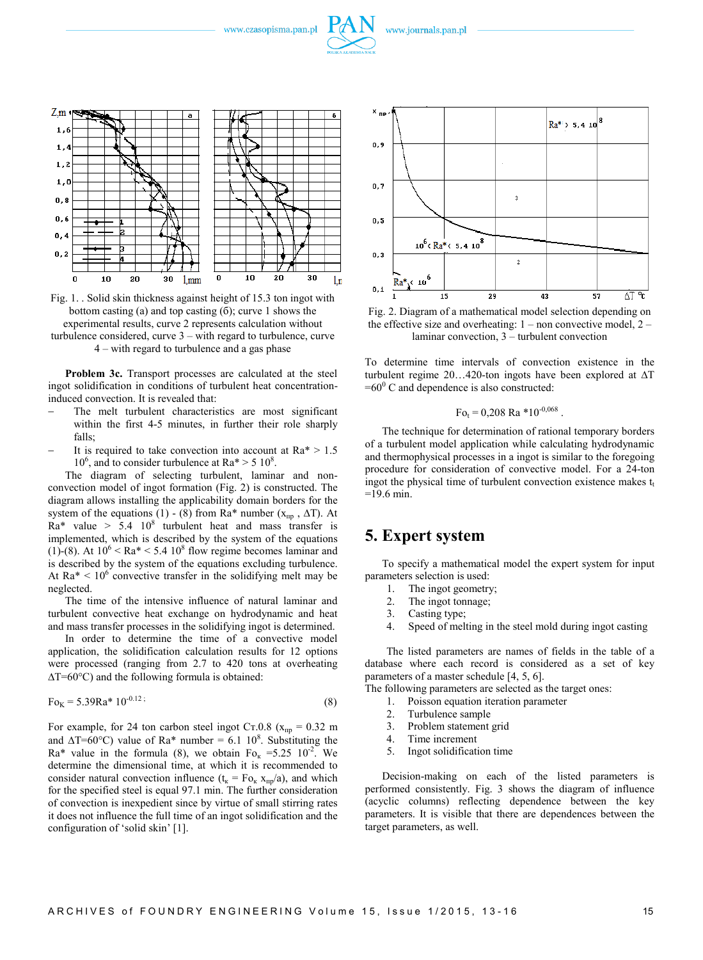www.czasopisma.pan.pl



Fig. 1. . Solid skin thickness against height of 15.3 ton ingot with bottom casting (а) and top casting (б); curve 1 shows the experimental results, curve 2 represents calculation without turbulence considered, curve 3 – with regard to turbulence, curve 4 – with regard to turbulence and a gas phase

**Problem 3c.** Transport processes are calculated at the steel ingot solidification in conditions of turbulent heat concentrationinduced convection. It is revealed that:

- The melt turbulent characteristics are most significant within the first 4-5 minutes, in further their role sharply falls;
- It is required to take convection into account at  $Ra^* > 1.5$  $10^6$ , and to consider turbulence at Ra\* > 5  $10^8$ .

The diagram of selecting turbulent, laminar and nonconvection model of ingot formation (Fig. 2) is constructed. The diagram allows installing the applicability domain borders for the system of the equations (1) - (8) from Ra\* number ( $x_{\text{nn}}$ ,  $\Delta T$ ). At  $Ra^*$  value > 5.4 10<sup>8</sup> turbulent heat and mass transfer is implemented, which is described by the system of the equations (1)-(8). At  $10^6$  < Ra\* < 5.4  $10^8$  flow regime becomes laminar and is described by the system of the equations excluding turbulence. At  $Ra^* < 10^6$  convective transfer in the solidifying melt may be neglected.

The time of the intensive influence of natural laminar and turbulent convective heat exchange on hydrodynamic and heat and mass transfer processes in the solidifying ingot is determined.

In order to determine the time of a convective model application, the solidification calculation results for 12 options were processed (ranging from 2.7 to 420 tons at overheating ∆Т=60°С) and the following formula is obtained:

$$
F_{0K} = 5.39Ra^* 10^{-0.12};
$$
\n(8)

For example, for 24 ton carbon steel ingot Cr.0.8 ( $x_{np} = 0.32$  m and  $\Delta T = 60^{\circ}$ C) value of Ra\* number = 6.1 10<sup>8</sup>. Substituting the Ra\* value in the formula (8), we obtain  $F_{O_K} = 5.25 \times 10^{-2}$ . We determine the dimensional time, at which it is recommended to consider natural convection influence  $(t_{k} = F_{O_{k}} x_{np}/a)$ , and which for the specified steel is equal 97.1 min. The further consideration of convection is inexpedient since by virtue of small stirring rates it does not influence the full time of an ingot solidification and the configuration of 'solid skin' [1].



Fig. 2. Diagram of a mathematical model selection depending on the effective size and overheating:  $1 -$  non convective model,  $2$ laminar convection, 3 – turbulent convection

To determine time intervals of convection existence in the turbulent regime 20…420-ton ingots have been explored at ∆Т  $=60^{\circ}$  C and dependence is also constructed:

$$
Fo_t = 0,208 \text{ Ra} * 10^{-0,068}.
$$

The technique for determination of rational temporary borders of a turbulent model application while calculating hydrodynamic and thermophysical processes in a ingot is similar to the foregoing procedure for consideration of convective model. For a 24-ton ingot the physical time of turbulent convection existence makes  $t_t$  $=19.6 \text{ min}$ .

#### **5. Expert system**

To specify a mathematical model the expert system for input parameters selection is used:

- 1. The ingot geometry;<br>2. The ingot tonnage:
- The ingot tonnage;
- 3. Casting type;
- 4. Speed of melting in the steel mold during ingot casting

The listed parameters are names of fields in the table of a database where each record is considered as a set of key parameters of a master schedule [4, 5, 6].

The following parameters are selected as the target ones:

- 1. Poisson equation iteration parameter
- 2. Turbulence sample
- 3. Problem statement grid
- 4. Time increment
- 5. Ingot solidification time

Decision-making on each of the listed parameters is performed consistently. Fig. 3 shows the diagram of influence (acyclic columns) reflecting dependence between the key parameters. It is visible that there are dependences between the target parameters, as well.